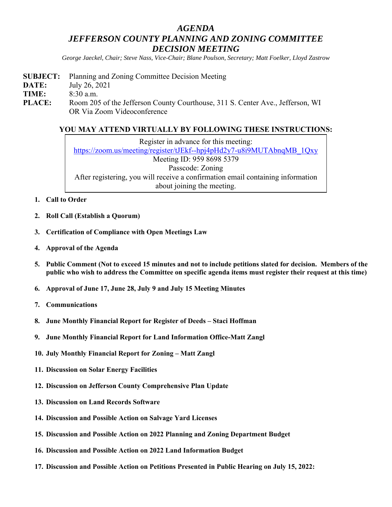## *AGENDA JEFFERSON COUNTY PLANNING AND ZONING COMMITTEE DECISION MEETING*

*George Jaeckel, Chair; Steve Nass, Vice-Chair; Blane Poulson, Secretary; Matt Foelker, Lloyd Zastrow* 

**SUBJECT:** Planning and Zoning Committee Decision Meeting **DATE:** July 26, 2021 **TIME:** 8:30 a.m. PLACE: Room 205 of the Jefferson County Courthouse, 311 S. Center Ave., Jefferson, WI OR Via Zoom Videoconference

## **YOU MAY ATTEND VIRTUALLY BY FOLLOWING THESE INSTRUCTIONS:**

Register in advance for this meeting: https://zoom.us/meeting/register/tJEkf--hpj4pHd2y7-u8i9MUTAbnqMB\_1Qxy Meeting ID: 959 8698 5379 Passcode: Zoning After registering, you will receive a confirmation email containing information about joining the meeting.

- **1. Call to Order**
- **2. Roll Call (Establish a Quorum)**
- **3. Certification of Compliance with Open Meetings Law**
- **4. Approval of the Agenda**
- **5. Public Comment (Not to exceed 15 minutes and not to include petitions slated for decision. Members of the public who wish to address the Committee on specific agenda items must register their request at this time)**
- **6. Approval of June 17, June 28, July 9 and July 15 Meeting Minutes**
- **7. Communications**
- **8. June Monthly Financial Report for Register of Deeds Staci Hoffman**
- **9. June Monthly Financial Report for Land Information Office-Matt Zangl**
- **10. July Monthly Financial Report for Zoning Matt Zangl**
- **11. Discussion on Solar Energy Facilities**
- **12. Discussion on Jefferson County Comprehensive Plan Update**
- **13. Discussion on Land Records Software**
- **14. Discussion and Possible Action on Salvage Yard Licenses**
- **15. Discussion and Possible Action on 2022 Planning and Zoning Department Budget**
- **16. Discussion and Possible Action on 2022 Land Information Budget**
- **17. Discussion and Possible Action on Petitions Presented in Public Hearing on July 15, 2022:**